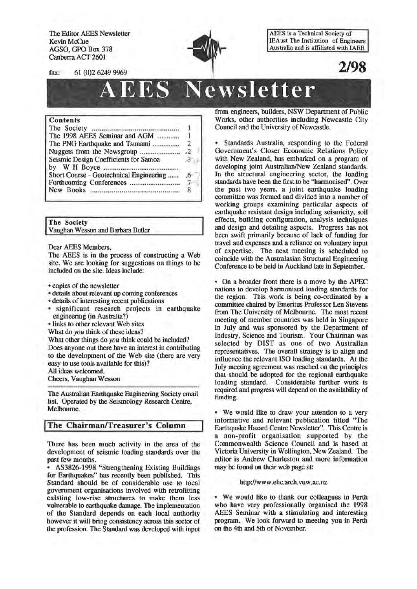The Editor AEES Newsletter Kevin McCue AGSO, GPO Box 378 Canberra ACT 2601



AEES is a Technical Society of IEAust The Institution of Engineers Australia and is affiliated with IAEE

**2/98** 

fax: 61 (0)2 6249 9969

# **AEES Newsletter**

#### Contents

| The Society monomenon communication     |  |
|-----------------------------------------|--|
| The 1998 AEES Seminar and AGM           |  |
| The PNG Earthquake and Tsunami          |  |
|                                         |  |
| Seismic Design Coefficients for Samoa   |  |
|                                         |  |
| Short Course - Geotechnical Engineering |  |
|                                         |  |
|                                         |  |
|                                         |  |

Vaughan Wesson and Barbara Butler **I The** Society

Dear AEES Members,

The AEES is in the process of constructing a Web site. We are looking for suggestions on things to be included on the site. Ideas include:

- copies of the newsletter
- details about relevant up coming conferences
- details of interesting recent publications
- significant research projects in earthquake engineering (in Australia?)

•links to other relevant Web sites

What do you think of these ideas?

What other things do you think could be included? Does anyone out there have an interest in contributing to the development of the Web site (there are very easy to use tools available for this)?

All ideas welcomed.

Cheers, Vaughan Wesson

The Australian Earthquake Engineering Society email list. Operated by the Seismology Research Centre, Melbourne.

# **I The Chairman/Treasurer's Column**

There has been much activity in the area of the development of seismic loading standards over the past few months.

• AS3826-1998 "Strengthening Existing Buildings for Earthquakes" bas recently been published. This Standard should be of considerable use to local government organisations involved with retrofitting existing low-rise structures to make them less vulnerable to earthquake damage. The implementation of the Standard depends on each local authority however it will bring consistency across this sector of the profession. The Standard was developed with input

from engineers, builders, NSW Department of Public Works, other authorities including Newcastle City Council and the University of Newcastle.

• Standards Australia, responding to the Federal Government's Closer Economic Relations Policy with New Zealand, bas embarked on a program of developing joint Australian/New Zealand standards. In the structural engineering sector, the loading standards have been the first to be "barmonised". Over the past two years, a joint earthquake loading committee was formed and divided into a number of working groups examining particular aspects of earthquake resistant design including seismicity, soil effects, building configuration, analysis techniques and design and detailing aspects. Progress bas not been swift primarily because of lack of funding for travel and expenses and a reliance on voluntary input of expertise. The next meeting is scheduled to coincide with the Australasian Structural Engineering Conference to be held in Auckland late in September.

• On a broader front there is a move by the APEC nations to develop barmonised loading standards for the region. This work is being co-ordinated by a committee chaired by Emeritus Professor Len Stevens from The University of Melbourne. The most recent meeting of member countries was held in Singapore in July and was sponsored by the Department of Industry, Science and Tourism. Your Chairman was selected by DIST as one of two Australian representatives. The overall strategy is to align and influence the relevant ISO loading standards. At the July meeting agreement was reached on the principles that should be adopted for the regional earthquake loading standard. Considerable further work is required and progress will depend on the availability of funding.

• We would like to draw your attention to a very informative and relevant publication titled "The Earthquake Hazard Centre Newsletter". This Centre is a non-profit organisation supported by the Commonwealth Science Council and is based at Victoria University in Wellington, New Zealand. The editor is Andrew Charleston and more information may be found on their web page at

#### http://www .ehc.arch. vuw .ac.nz

• We would like to thank our colleagues in Perth who have very professionally organised the 1998 AEES Seminar with a stimulating and interesting program. We look forward to meeting you in Perth on the 4th and 5th of November.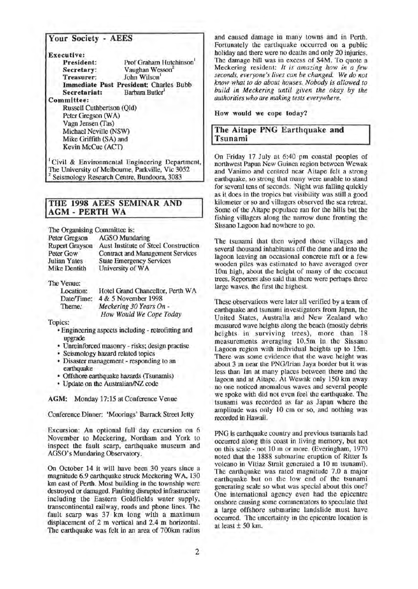# Your Society - AEES

Executive:

| President:   | Prof Graham Hutchinson                 |
|--------------|----------------------------------------|
| Secretary:   | Vaughan Wesson <sup>2</sup>            |
| Treasurer:   | John Wilson                            |
|              | Immediate Past President: Charles Bubb |
| Secretariat: | Barbara Butler                         |
|              |                                        |

Committee:

Russell Cuthbertson (Qld) Peter Gregson (WA) Vagn Jensen (fas) Michael Neville (NSW) Mike Griffith (SA) and Kevin McCue (ACT)

1 Civil & Environmental Engineering Department, Seismology Research Centre, Bundoora, 3083

# ITHE 1998 AEES SEMINAR AND **AGM - PERTH WA**

The Organising Committee is:

| Peter Gregson         | <b>AGSO</b> Mundaring                   |
|-----------------------|-----------------------------------------|
| <b>Rupert Grayson</b> | Aust Institute of Steel Construction    |
| Peter Gow             | <b>Contract and Management Services</b> |
| <b>Julian Yates</b>   | <b>State Emergency Services</b>         |
| Mike Dentith          | University of WA                        |

The Venue:

Location: Date/Time: 4 & 5 November 1998 Hotel Grand Chancellor, Perth WA Theme: *Meckering 30 Years On-How Would We Cope Today* 

Topics:

- Engineering aspects including retrofitting and upgrade
- Unreinforced masonry risks; design practise
- Seismology hazard related topics
- Disaster management responding to an earthquake
- Offshore earthquake hazards (fsunamis)
- Update on the Australian/NZ code

AGM: Monday 17:15 at Conference Venue

Conference Dinner: 'Moorings' Barrack Street Jetty

Excursion: An optional full day excursion on 6 November to Meckering, Northam and York to inspect the fault scarp, earthquake museum and AGSO's Mundaring Observatory.

On October 14 it will have been 30 years since a magnitude 6.9 earthquake struck Meckering WA, 130 km east of Perth. Most building in the township were destroyed or damaged. Faulting disrupted infrastructure including the Eastern Goldfields water supply, transcontinental railway, roads and phone lines. The fault scarp was 37 km long with a maximum displacement of 2 m vertical and 2.4 m horizontal. The carthquake was felt in an area of 700km radius

and caused damage in many towns and in Perth. Fortunately the earthquake occurred on a public holiday and there were no deaths and only 20 injuries. The damage bill was in excess of \$4M. To quote a Meckering resident: *It is amazing how in a few seconds, everyone's lives can be changed. We do not know what to do about houses. Nobody is allowed to build in Meckering until given the okay by the authorities who are making tests everywhere.* 

#### How would we cope today?

# The Aitape PNG Earthquake and Tsunami

On Friday 17 July at 6:40 pm coastal peoples of northwest Papua New Guinea region between Wewak and Vanimo and centred near Aitape felt a strong earthquake, so strong that many were unable to stand for several tens of seconds. Night was falling quickly as it does in the tropics but visibility was still a good kilometer or so and villagers observed the sea retreat. Some of the Aitape populace ran for the hills but the fishing villagers along the narrow dune fronting the Sissano Lagoon had nowhere to go.

The tsunami that then wiped those villages and several thousand inhabitants off the dune and into the lagoon leaving an occasional concrete raft or a few wooden piles was estimated to have averaged over 10m high, about the height of many of the coconut trees. Reporters also said that there were perhaps three large waves, the first the highest.

These observations were later all verified by a team of earthquake and tsunami investigators from Japan, the United States, Australia and New Zealand who measured wave heights along the beach (mostly debris heights in surviving trees), more than 18 measurements averaging 10.5m in the Sissano Lagoon region with individual heights up to 15m. There was some evidence that the wave hetght was about 3 m near the PNG/Irian Jaya border but it was less than lm at many places between there and the lagoon and at Aitape. At Wewak only 150 km away no one noticed anomalous waves and several people we spoke with did not even feel the earthquake. The tsunami was recorded as far as Japan where the amplitude was only 10 em or so, and nothing was recorded in Hawaii.

PNG is earthquake country and previous tsunamis had occurred along this coast in living memory, but not on this scale- not 10m or more. (Everingham, 1970 noted that the 1888 submarine eruption of Ritter Is volcano in Vitiaz Strait generated a 10 m tsunami). The earthquake was rated magnitude 7.0 a major earthquake but on the low end of the tsunami generating scale so what was special about this one? One international agency even had the epicentre onshore causing some commentators to speculate that a large offshore submarine landslide must have occurred. The uncertainty in the epicentre location is at least  $\pm$  50 km.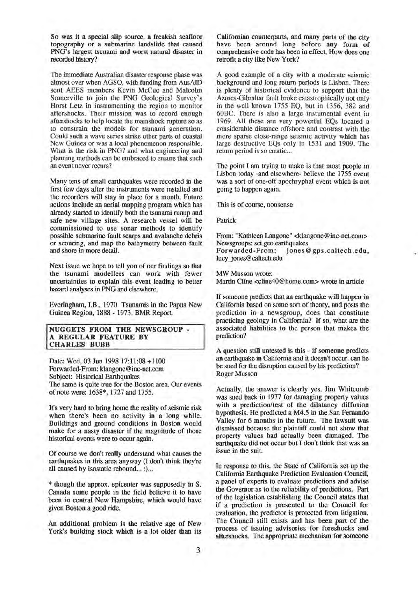So was it a special slip source, a freakish seafloor topography or a submarine landslide that caused PNG's largest tsunami and worst natural disaster in recorded history?

The immediate Australian disaster response phase was almost over when AGSO, with funding from AusAID sent AEES members Kevin McCue and Malcolm Somerville to join the PNG Geological Survey's Horst Letz in instrumenting the region to monitor aftershocks. Their mission was to record enough aftershocks to help locate the mainshock rupture so as to constrain the models for tsunami generation. Could such a wave series strike other parts of coastal New Guinea or was a local phenomenon responsible. What is the risk in PNG? and what engineering and planning methods can be embraced to ensure that such an event never recurs?

Many tens of small earthquakes were recorded in the first few days after the instruments were installed and the recorders will stay in place for a month. Future actions include an aerial mapping program which has already started to identify both the tsunami runup and safe new village sites. A research vessel will be commissioned to use sonar methods to identify possible submarine fault scarps and avalanche debris or scouring, and map the bathymetry between fault and shore in more detail.

Next issue we hope to tell you of our findings so that the tsunami modellers can work with fewer uncertainties to explain this event leading to better hazard analyses in PNG and elsewhere.

Everingham, I.B., 1970 Tsunamis in the Papua New Guinea Region, 1888- 1973. BMR Report.

#### NUGGETS FROM THE NEWSGROUP - A REGULAR FEATURE BY CHARLES BUBB

Date: Wed, 03 Jun 1998 17:11:08 +1100 Forwarded-From: klangone@inc-net.com Subject: Historical Earthquakes The same is quite true for the Boston area. Our events of note were: 1638\*, 1727 and 1755.

It's very hard to bring home the reality of seismic risk when there's been no activity in a long while. Buildings and ground conditions in Boston would make for a nasty disaster if the magnitude of those historical events were to occur again.

Of course we don't really understand what causes the earthquakes in this area anyway (I don't think they're all caused by isostatic rebound... :)...

\* though the approx. epicenter was supposedly in S. Canada some people in the fteld believe it to have been in central New Hampshire, which would have given Boston a good ride.

An additional problem is the relative age of New York's building stock which is a lot older than its Californian counterparts, and many parts of the city have been around long before any form of comprehensive code has been in effect. How does one retrofit a city like New York?

A good example of a city with a moderate seismic background and long return periods is Lisbon. There is plenty of historical evidence to support that the Azores-Gibraltar fault broke catastrophically not only in the well known 1755 EQ, but in 1356, 382 and 60BC. There is also a large instumental event in 1969. All these are very powerful EQs located a considerable distance offshore and contrast with the more sparse close-range seismic activity which has large destructive EQs only in 1531 and 1909. The return period is so crratic...

The point I am trying to make is that most people in Lisbon today -and elsewhere- believe the 1755 event was a sort of one-off apochryphal event which is not going to happen again.

This is of course, nonsense

Patrick

From: "Kathleen Langone" <klangone@inc-net.com> Newsgroups: sci.geo.earthquakes<br>Forwarded-From: jones@ jones@gps.caltech.edu,

lucy jones@caltech.edu

MW Musson wrote:

Martin Cline <cline40@home.com> wrote in article

If someone predicts that an earthquake will happen in California based on some sort of theory, and posts the prediction in a newsgroup, does that constitute practicing geology in California? If so, what are the associated liabilities to the person that makes the prediction?

A question still untested is this - if someone predicts an earthquake in California and it doesn't occur, can he be sued for the disruption caused by his prediction? Roger Musson

Actually, the answer is clearly yes. Jim Whitcomb was sued back in 1977 for damaging property values with a prediction/test of the dilatancy diffusion hypothesis. He predicted a M4.5 in the San Fernando Valley for 6 months in the future. The lawsuit was dismissed because the plaintiff could not show that property values had actually been damaged. The earthquake did not occur but I don't think that was an issue in the suit.

In response to this, the State of California set up the California Earthquake Prediction Evaluation Council, a panel of experts to evaluate predictions and advise the Governor as to the reliability of predictions. Part of the legislation establishing the Council states that if a prediction is presented to the Council for evaluation, the predictor is protected from litigation. The Council still exists and has been part of the process of issuing advisories for foreshocks and aftershocks. The appropriate mechanism for someone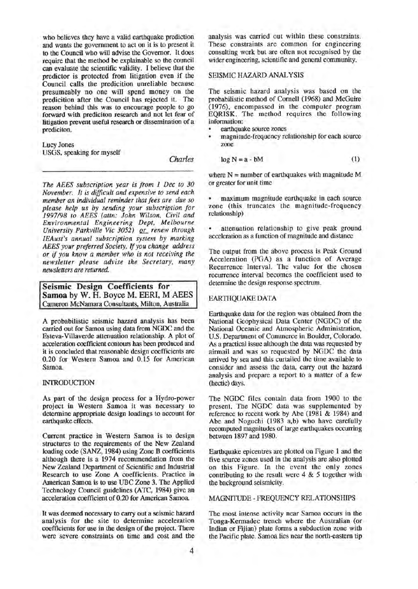who believes they have a valid earthquake prediction and wants the government to act on it is to present it to the Council who will advise the Governor. It does require that the method be explainable so the council can evaluate the scientific validity. I believe that the predictor is protected from litigation even if the Council calls the predicition unreliable because presumeably no one will spend money on the predicition after the Council bas rejected it. The reason behind this was to encourage people to go forward with prediciton research and not let fear of litigation prevent useful research or dissemination of a prediciton.

Lucy Jones USGS, speaking for myself

*Charles* 

*The AEES subscription year is from 1 Dec to 30 November. It is difficult and expensive to send each member an individual reminder that fees are due so please help us by sending your subscription for 1997198 to AEES (attn: John Wilson, Civil and Environmental Engineering Dept, Melbourne*  University Parkville Vic 3052) or renew through *IEAust's annual subscription system by marking AEES your preferred Society. If you change address or* if *you know a member who is not receiving the newsletter please advise the Secretary, many newsletters are returned.* 

**Seismic Design Coefficients for Samoa** by W. H. Boyce M. EERI, M AEES Cameron McNamara Consultants, Milton, Australia

A probabilistic seismic hazard analysis has been carried out for Samoa using data from NGDC and the Esteva-Villaverde attenuation relationship. A plot of acceleration coefficient contours has been produced and it is concluded that reasonable design coefficients are 0.20 for Western Samoa and 0.15 for American Samoa.

#### INIRODUCTION

As part of the design process for a Hydro-power project in Western Samoa it was necessary to determine appropriate design loadings to account for earthquake effects.

Current practice in Western Samoa is to design structures to the requirements of the New Zealand loading code (SANZ, 1984) using Zone B coefficients although there is a 1974 recommendation from the New Zealand Department of Scientific and Industrial Research to use Zone A coefficients. Practice in American Samoa is to use UBC Zone 3. The Applied Technology Council guidelines (ATC, 1984) give an acceleration coefficient of 0.20 for American Samoa.

It was deemed necessary to carry out a seismic hazard analysis for the site to determine acceleration coefficients for use in the design of the project. There were severe constraints on time and cost and the analysis was carried out within these constraints. These constraints are common for engineering consulting work but are often not recognised by the wider engineering, scientific and general community.

#### SEISMIC HAZARD ANALYSIS

The seismic hazard analysis was based on the probabilistic method of Cornell (1968) and McGuire (1976), encompassed in the computer program EQRISK. The method requires the following information:

- earthquake source zones
- magnitude-frequency relationship for each source zone

$$
\log N = a - bM \tag{1}
$$

where  $N =$  number of earthquakes with magnitude M or greater for unit time

• maximum magnitude earthquake in each source zone (this truncates the magnitude-frequency relationship)

attenuation relationship to give peak ground acceleration as a function of magnitude and distance

The output from the above process is Peak Ground Acceleration (PGA) as a function of Average Recurrence Interval. The value for the chosen recurrence interval becomes the coefficient used to detennine the design response spectrum.

#### EARTHQUAKE DATA

Earthquake data for the region was obtained from the National Geophysical Data Center (NGDC) of the National Oceanic and Atmospheric Administration, U.S. Department of Commerce in Boulder, Colorado. As a practical issue although the data was requested by airmail and was so requested by NGDC the data arrived by sea and this curtailed the time available to consider and assess the data, carry out the hazard analysis and prepare a report to a matter of a few (hectic) days.

The NGDC files contain data from 1900 to the present. The NGDC data was supplemented by reference to recent work by Abe (1981 & 1984) and Abe and Noguchi (1983 a,b) who have carefully recomputed magnitudes of large earthquakes occurring between 1897 and 1980.

Earthquake epicentres are plotted on Figure 1 and the five source zones used in the analysis are also plotted on this Figure. In the event the only zones contributing to the result were  $4 \& 5$  together with the background seismicity.

#### MAGNITUDE -FREQUENCY RELATIONSHIPS

The most intense activity near Samoa occurs in the Tonga-Kermadec trench where the Australian (or Indian or Fijian) plate forms a subduction zone with the Pacific plate. Samoa lies near the north-eastern tip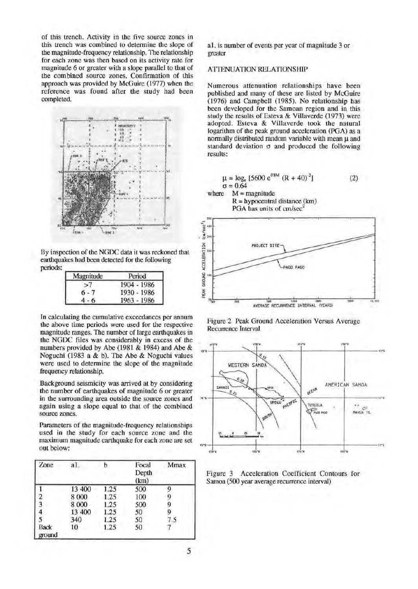of this trench. Activity in the five source zones in this trench was combined to determine the slope of the magnitude-frequency relationship. The relationship for each zone was then based on its activity rate for magnitude 6 or greater with a slope parallel to that of the combined source zones. Confirmation of this approach was provided by McGuire (1977) when the reference was found after the study had been completed.



By inspection of the NGOC data it was reckoned that earthquakes had been detected for the following

| Magnitude | Period      |
|-----------|-------------|
|           | 1904 - 1986 |
| $6 - 7$   | 1930 - 1986 |
|           | 1963 - 1986 |

In calculating the cumulative exceedances per annum the above time periods were used for the respective magnitude ranges. The number of large earthquakes in the NGOC files was considerably in excess of the numbers provided by Abe (1981 & 1984) and Abe & Noguchi (1983 a & b). The Abe & Noguchi values were used to determine the slope of the magnitude frequency relationship.

Background seismicity was arrived at by considering the number of earthquakes of magnitude 6 or greater in the surrounding area outside the source zones and again using a slope equal to that of the combined source zones.

Parameters of the magnitude-frequency relationships used in the study for each source zone and the maximum magnitude earthquake for each zone are set out below:

| Zone                    | a1.     | b    | Focal<br>Depth<br>(km) | Mmax |
|-------------------------|---------|------|------------------------|------|
|                         | 13 400  | 1.25 | 500                    | Q    |
| $\overline{2}$          | 8 000   | 1.25 | 100                    | g    |
| $\overline{\mathbf{3}}$ | 8 0 0 0 | 1.25 | 500                    | 9    |
| 4                       | 13 400  | 1.25 | 50                     | g    |
| 5                       | 340     | 1.25 | 50                     | 7.5  |
| <b>Back</b><br>ground   | 10      | 1.25 | 50                     |      |

al. is number of events per year of magnitude 3 or greater

## ATTENUATION RELATIONSHIP

Numerous attenuation relationships have been published and many of these are listed by McGuire (1976) and Campbell (1985). No relationship has been developed for the Samoan region and in this study the results of Esteva & Villaverde (1973) were adopted. Esteva & Villaverde took the natural logarithm of the peak ground acceleration (PGA) as a normally distributed random variable with mean  $\mu$  and standard deviation  $\sigma$  and produced the following results:



... **s;.o ,ooo ueo** , ... AVERAGE RECURRENCE INTERVAL <YEARS!

Figure 2 Peak Ground Acceleration Versus Average Recurrence Interval



Figure 3 Acceleration Coefficient Contours for Samoa (500 year average recurrence interval)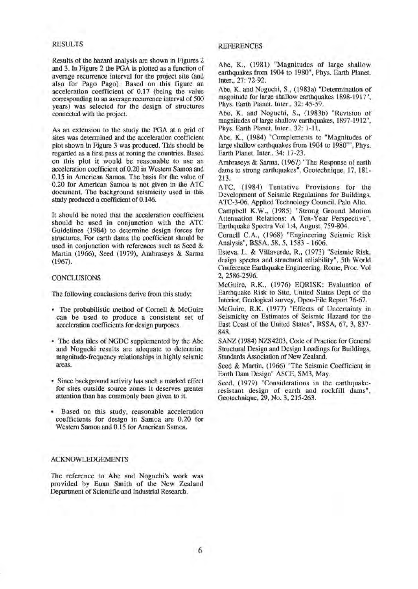#### RESULTS

Results of the hazard analysis are shown in Figures 2 and 3. In Figure 2 the PGA is plotted as a function of average recurrence interval for the project site (and also for Pago Pago). Based on this figure an acceleration coefficient of 0.17 (being the value corresponding to an average recurrence interval of 500 years) was selected for the design of structures connected with the project.

As an extension to the study the PGA at a grid of sites was determined and the acceleration coefficient plot shown in Figure 3 was produced. This should be regarded as a first pass at zoning the countries. Based on this plot it would be reasonable to use an acceleration coefficient of 0.20 in Western Samoa and 0.15 in American Samoa. The basis for the value of 0.20 for American Samoa is not given in the ATC document. The background seismicity used in this study produced a coefficient of 0.146.

It should be noted that the acceleration coefficient should be used in conjunction with the ATC Guidelines (1984) to detennine design forces for structures. For earth dams the coefficient should be used in conjunction with references such as Seed & Martin (1966), Seed (1979), Ambraseys & Sarma (1967).

#### CONCLUSIONS

The following conclusions derive from this study:

- The probabilistic method of Cornell & McGuire can be used to produce a consistent set of acceleration coefficients for design purposes.
- The data files of NGDC supplemented by the Abe and Noguchi results are adequate to determine magnitude-frequency relationships in highly seismic areas.
- Since background activity has such a marked effect for sites outside source zones it deserves greater attention than has commonly been given to it.
- Based on this study, reasonable acceleration coefficients for design in Samoa are 0.20 for Western Samoa and 0.15 for American Samoa.

#### ACKNOWLEDGEMENTS

The reference to Abe and Noguchi's work was provided by Euan Smith of the New Zealand Department of Scientific and Industrial Research.

#### **REFERENCES**

Abe, K., (1981) "Magnitudes of large shallow earthquakes from 1904 to 1980", Phys. Earth Planet. Inter., 27: 72-92.

Abe, K. and Noguchi, S., (1983a) "Determination of magnitude for large shallow earthquakes 1898-1917", Phys. Earth Planet. Inter., 32: 45-59.

Abe, K. and Noguchi, S., (1983b) "Revision of magnitudes of large shallow earthquakes, 1897-1912", Phys. Earth Planet. Inter., 32: 1-11.

Abe, K., (1984) "Complements to "Magnitudes of large shallow earthquakes from 1904 to 1980"", Phys. Earth Planet. Inter., 34: 17-23.

Ambraseys & Sarma, (1967) "The Response of earth dams to strong earthquakes", Geotechnique, 17, 181- 213.

ATC, (1984) Tentative Provisions for the Development of Seismic Regulations for Buildings, ATC-3-06. Applied Technology Council, Palo Alto.

Campbell K.W., (1985) "Strong Ground Motion Attenuation Relations: A Ten-Year Perspective", Earthquake Spectra Vol1:4, August, 759-804.

Cornell C.A., (1968) "Engineering Seismic Risk Analysis", BSSA, 58, 5, 1583 - 1606.

Esteva, L. & Villaverde, R., (1973) "Seismic Risk, design spectra and structural reliability", 5th World Conference Earthquake Engineering, Rome, Proc. Vol 2, 2586-2596.

McGuire, R.K., (1976) EQRISK: Evaluation of Earthquake Risk to Site, United States Dept of the Interior, Geological survey, Open-File Report 76-67.

McGuire, R.K. (1977) "Effects of Uncertainty in Seismicity on Estimates of Seismic Hazard for the East Coast of the United States", BSSA, 67, 3, 837- 848.

SANZ (1984) NZS4203, Code of Practice for General Structural Design and Design Loadings for Buildings, Standards Association of New Zealand.

Seed & Martin, (1966) "The Seismic Coefficient in Earth Dam Design" ASCE, SM3, May.

Seed, (1979) "Considerations in the earthquakeresistant design of earth and rockfill dams", Geotechnique, 29, No. 3, 215-263.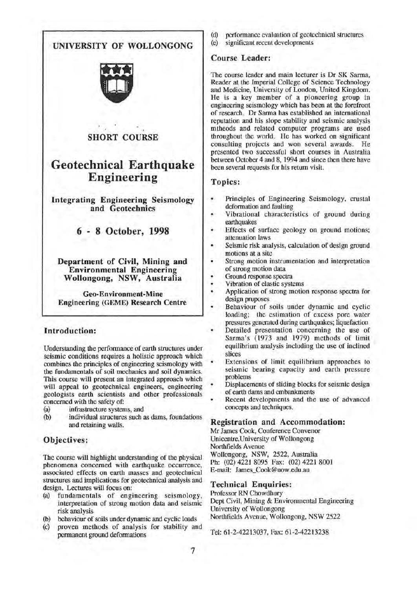

Understanding the performance of earth structures under seismic conditions requires a holistic approach which combines the principles of engineering seismology with the fundamentals of soil mechanics and soil dynamics. This course will present an integrated approach which will appeal to geotechnical engineers, engineering geologists earth scientists and other professionals concerned with the safety of:

- (a) infrastructure systems, and
- (b) individual structures such as dams, foundations and retaining walls.

# Objectives:

The course will highlight understanding of the physical phenomena concerned with earthquake occurrence, associated effects on earth masses and geotechnical structures and implications for geotechnical analysis and design. Lectures will focus on:

- (a) fundamentals of engineering seismology, interpretation of strong motion data and seismic risk analysis
- (b) behaviour of soils under dynamic and cyclic loads
- (c) proven methods of analysis for stability and permanent ground deformations
- (d) performance evaluation of geotechnical structures
- (e) significant recent developments

# Course Leader:

The course leader and main lecturer is Dr SK Sarma, Reader at the Imperial College of Science Technology and Medicine, University of London, United Kingdom. He is a key member of a pioneering group in engineering seismology which has been at the forefront of research. Dr Sarma has established an international reputation and his slope stability and seismic analysis mtheods and related computer programs are used throughout the world. He has worked on significant consulting projects and won several awards. He presented two successful short courses in Australia between October 4 and 8, 1994 and since then there have been several requests for his return visit.

# Topics:

- Principles of Engineering Seismology, crustal deformation and faulting
- Vibrational characteristics of ground during earthquakes
- Effects of surface geology on ground motions; attenuation laws
- Seismic risk analysis, calculation of design ground motions at a site
- Strong motion instrumentation and interpretation of strong motion data
- Ground response spectra
- Vibration of elastic systems
- Application of strong motion response spectra for design pruposes
- Behaviour of soils under dynamic and cyclic loading; the estimation of excess pore water pressures generated during earthquakes; liquefaction
- Detailed presentation concerning the use of Sarma's (1973 and 1979) methods of limit equilibrium analysis including the use of inclined slices
- Extensions of limit equilibrium approaches to seismic bearing capacity and earth pressure problems
- Displacements of sliding blocks for seismic design of earth dams and embankments
- Recent developments and the use of advanced concepts and techniques.

#### Registration and Accommodation:

Mr James Cook, Conference Convenor Unicentre,University of Wollongong Northfields A venue Wollongong, NSW, 2522, Australia Ph: (02) 4221 8095 Fax: (02) 4221 8001 E-mail: James\_Cook@uow.edu.au

## Technical Enquiries:

Professor RN Chowdhury Dept Civil, Mining & Environmental Engineering University of Wollongong Northfields Avenue, Wollongong, NSW 2522

Tel: 61-2-42213037, Fax: 61-2-42213238